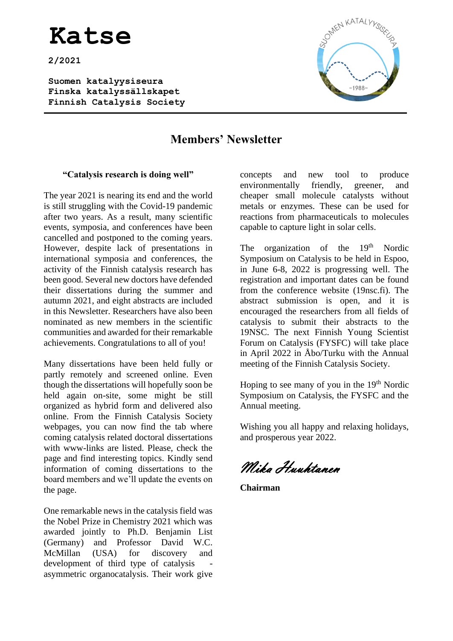**2/2021**

**Suomen katalyysiseura Finska katalyssällskapet Finnish Catalysis Society** 



### **Members' Newsletter**

#### **"Catalysis research is doing well"**

The year 2021 is nearing its end and the world is still struggling with the Covid-19 pandemic after two years. As a result, many scientific events, symposia, and conferences have been cancelled and postponed to the coming years. However, despite lack of presentations in international symposia and conferences, the activity of the Finnish catalysis research has been good. Several new doctors have defended their dissertations during the summer and autumn 2021, and eight abstracts are included in this Newsletter. Researchers have also been nominated as new members in the scientific communities and awarded for their remarkable achievements. Congratulations to all of you!

Many dissertations have been held fully or partly remotely and screened online. Even though the dissertations will hopefully soon be held again on-site, some might be still organized as hybrid form and delivered also online. From the Finnish Catalysis Society webpages, you can now find the tab where coming catalysis related doctoral dissertations with www-links are listed. Please, check the page and find interesting topics. Kindly send information of coming dissertations to the board members and we'll update the events on the page.

One remarkable news in the catalysis field was the Nobel Prize in Chemistry 2021 which was awarded jointly to Ph.D. Benjamin List (Germany) and Professor David W.C. McMillan (USA) for discovery and development of third type of catalysis asymmetric organocatalysis. Their work give concepts and new tool to produce environmentally friendly, greener, and cheaper small molecule catalysts without metals or enzymes. These can be used for reactions from pharmaceuticals to molecules capable to capture light in solar cells.

The organization of the  $19<sup>th</sup>$  Nordic Symposium on Catalysis to be held in Espoo, in June 6-8, 2022 is progressing well. The registration and important dates can be found from the conference website (19nsc.fi). The abstract submission is open, and it is encouraged the researchers from all fields of catalysis to submit their abstracts to the 19NSC. The next Finnish Young Scientist Forum on Catalysis (FYSFC) will take place in April 2022 in Åbo/Turku with the Annual meeting of the Finnish Catalysis Society.

Hoping to see many of you in the  $19<sup>th</sup>$  Nordic Symposium on Catalysis, the FYSFC and the Annual meeting.

Wishing you all happy and relaxing holidays, and prosperous year 2022.

Mika Huuhtanen

**Chairman**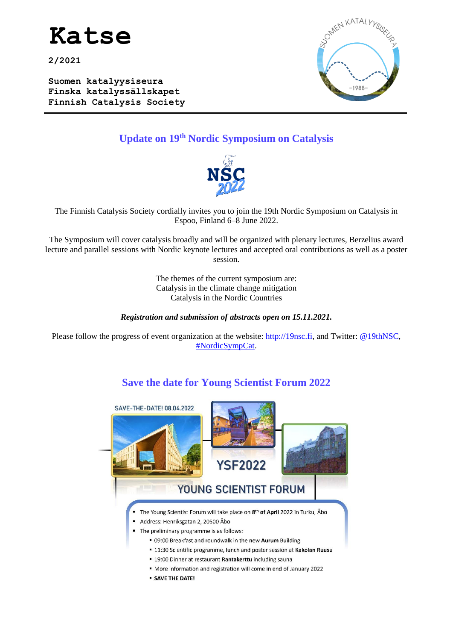

**2/2021**

**Suomen katalyysiseura Finska katalyssällskapet Finnish Catalysis Society** 



### **Update on 19th Nordic Symposium on Catalysis**



The Finnish Catalysis Society cordially invites you to join the 19th Nordic Symposium on Catalysis in Espoo, Finland 6–8 June 2022.

The Symposium will cover catalysis broadly and will be organized with plenary lectures, Berzelius award lecture and parallel sessions with Nordic keynote lectures and accepted oral contributions as well as a poster session.

> The themes of the current symposium are: Catalysis in the climate change mitigation Catalysis in the Nordic Countries

#### *Registration and submission of abstracts open on 15.11.2021.*

Please follow the progress of event organization at the website: [http://19nsc.fi,](http://19nsc.fi/) and Twitter: [@19thNSC,](https://eur03.safelinks.protection.outlook.com/?url=https%3A%2F%2Ftwitter.com%2F19thNSC&data=04%7C01%7CNiko.Heikkinen%40vtt.fi%7Ce57bec829b2143a1ac3b08d8d248d9e2%7C68d6b592500843b59b0423bec4e86cf7%7C0%7C0%7C637490557622310595%7CUnknown%7CTWFpbGZsb3d8eyJWIjoiMC4wLjAwMDAiLCJQIjoiV2luMzIiLCJBTiI6Ik1haWwiLCJXVCI6Mn0%3D%7C1000&sdata=WwyKh98A25nDYE9MljuI8gKebFq3TGZ02485EvKkwlo%3D&reserved=0) [#NordicSympCat.](https://eur03.safelinks.protection.outlook.com/?url=https%3A%2F%2Ftwitter.com%2Fsearch%3Fq%3D%2523NordicSympCat%26src%3Dtyped_query&data=04%7C01%7CNiko.Heikkinen%40vtt.fi%7Ce57bec829b2143a1ac3b08d8d248d9e2%7C68d6b592500843b59b0423bec4e86cf7%7C0%7C0%7C637490557622320595%7CUnknown%7CTWFpbGZsb3d8eyJWIjoiMC4wLjAwMDAiLCJQIjoiV2luMzIiLCJBTiI6Ik1haWwiLCJXVCI6Mn0%3D%7C1000&sdata=NJClZAG0pOWE9RmSN0EHBzzNu0DW%2FTuANccFin4bxIE%3D&reserved=0)

### **Save the date for Young Scientist Forum 2022**



**SAVE THE DATE!**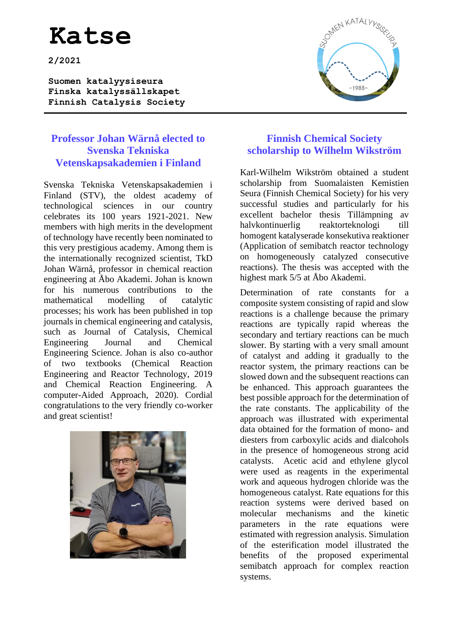**2/2021**

**Suomen katalyysiseura Finska katalyssällskapet Finnish Catalysis Society** 

### **Professor Johan Wärnå elected to Svenska Tekniska Vetenskapsakademien i Finland**

Svenska Tekniska Vetenskapsakademien i Finland (STV), the oldest academy of technological sciences in our country celebrates its 100 years 1921-2021. New members with high merits in the development of technology have recently been nominated to this very prestigious academy. Among them is the internationally recognized scientist, TkD Johan Wärnå, professor in chemical reaction engineering at Åbo Akademi. Johan is known for his numerous contributions to the mathematical modelling of catalytic processes; his work has been published in top journals in chemical engineering and catalysis, such as Journal of Catalysis, Chemical Engineering Journal and Chemical Engineering Science. Johan is also co-author of two textbooks (Chemical Reaction Engineering and Reactor Technology, 2019 and Chemical Reaction Engineering. A computer-Aided Approach, 2020). Cordial congratulations to the very friendly co-worker and great scientist!



### **Finnish Chemical Society scholarship to Wilhelm Wikström**

Karl-Wilhelm Wikström obtained a student scholarship from Suomalaisten Kemistien Seura (Finnish Chemical Society) for his very successful studies and particularly for his excellent bachelor thesis Tillämpning av halvkontinuerlig reaktorteknologi till homogent katalyserade konsekutiva reaktioner (Application of semibatch reactor technology on homogeneously catalyzed consecutive reactions). The thesis was accepted with the highest mark 5/5 at Åbo Akademi.

Determination of rate constants for a composite system consisting of rapid and slow reactions is a challenge because the primary reactions are typically rapid whereas the secondary and tertiary reactions can be much slower. By starting with a very small amount of catalyst and adding it gradually to the reactor system, the primary reactions can be slowed down and the subsequent reactions can be enhanced. This approach guarantees the best possible approach for the determination of the rate constants. The applicability of the approach was illustrated with experimental data obtained for the formation of mono- and diesters from carboxylic acids and dialcohols in the presence of homogeneous strong acid catalysts. Acetic acid and ethylene glycol were used as reagents in the experimental work and aqueous hydrogen chloride was the homogeneous catalyst. Rate equations for this reaction systems were derived based on molecular mechanisms and the kinetic parameters in the rate equations were estimated with regression analysis. Simulation of the esterification model illustrated the benefits of the proposed experimental semibatch approach for complex reaction systems.

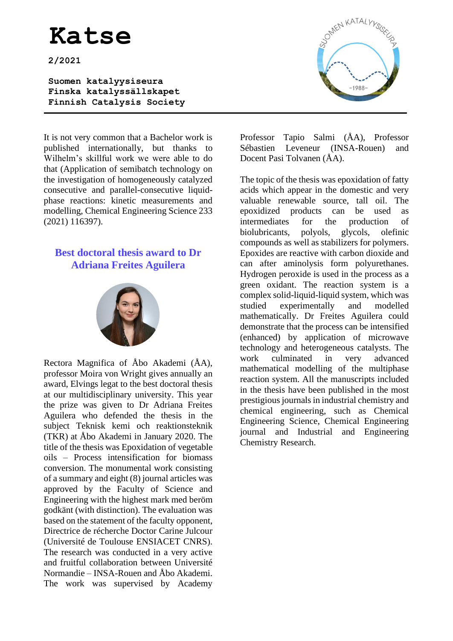**2/2021**

**Suomen katalyysiseura Finska katalyssällskapet Finnish Catalysis Society** 

It is not very common that a Bachelor work is published internationally, but thanks to Wilhelm's skillful work we were able to do that (Application of semibatch technology on the investigation of homogeneously catalyzed consecutive and parallel-consecutive liquidphase reactions: kinetic measurements and modelling, Chemical Engineering Science 233 (2021) 116397).

### **Best doctoral thesis award to Dr Adriana Freites Aguilera**



Rectora Magnifica of Åbo Akademi (ÅA), professor Moira von Wright gives annually an award, Elvings legat to the best doctoral thesis at our multidisciplinary university. This year the prize was given to Dr Adriana Freites Aguilera who defended the thesis in the subject Teknisk kemi och reaktionsteknik (TKR) at Åbo Akademi in January 2020. The title of the thesis was Epoxidation of vegetable oils – Process intensification for biomass conversion. The monumental work consisting of a summary and eight (8) journal articles was approved by the Faculty of Science and Engineering with the highest mark med beröm godkänt (with distinction). The evaluation was based on the statement of the faculty opponent, Directrice de récherche Doctor Carine Julcour (Université de Toulouse ENSIACET CNRS). The research was conducted in a very active and fruitful collaboration between Université Normandie – INSA-Rouen and Åbo Akademi. The work was supervised by Academy



Professor Tapio Salmi (ÅA), Professor Sébastien Leveneur (INSA-Rouen) and Docent Pasi Tolvanen (ÅA).

The topic of the thesis was epoxidation of fatty acids which appear in the domestic and very valuable renewable source, tall oil. The epoxidized products can be used as intermediates for the production of biolubricants, polyols, glycols, olefinic compounds as well as stabilizers for polymers. Epoxides are reactive with carbon dioxide and can after aminolysis form polyurethanes. Hydrogen peroxide is used in the process as a green oxidant. The reaction system is a complex solid-liquid-liquid system, which was studied experimentally and modelled mathematically. Dr Freites Aguilera could demonstrate that the process can be intensified (enhanced) by application of microwave technology and heterogeneous catalysts. The work culminated in very advanced mathematical modelling of the multiphase reaction system. All the manuscripts included in the thesis have been published in the most prestigious journals in industrial chemistry and chemical engineering, such as Chemical Engineering Science, Chemical Engineering journal and Industrial and Engineering Chemistry Research.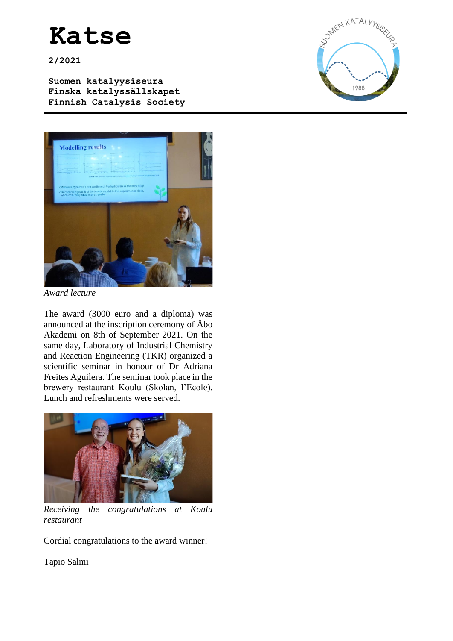**2/2021**

**Suomen katalyysiseura Finska katalyssällskapet Finnish Catalysis Society** 





*Award lecture*

The award (3000 euro and a diploma) was announced at the inscription ceremony of Åbo Akademi on 8th of September 2021. On the same day, Laboratory of Industrial Chemistry and Reaction Engineering (TKR) organized a scientific seminar in honour of Dr Adriana Freites Aguilera. The seminar took place in the brewery restaurant Koulu (Skolan, l'Ecole). Lunch and refreshments were served.



*Receiving the congratulations at Koulu restaurant*

Cordial congratulations to the award winner!

Tapio Salmi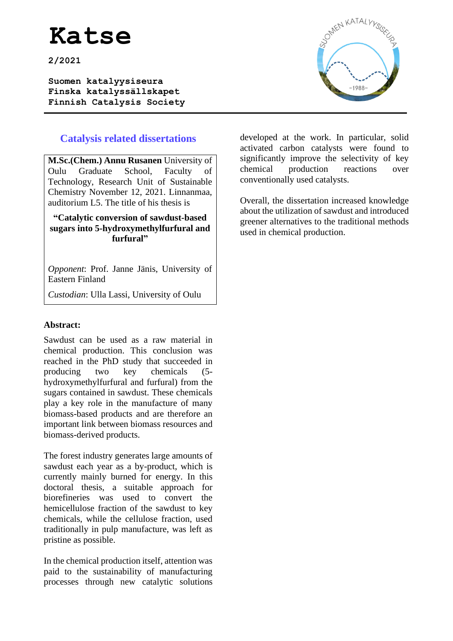**2/2021**

**Suomen katalyysiseura Finska katalyssällskapet Finnish Catalysis Society** 



### **Catalysis related dissertations**

**M.Sc.(Chem.) Annu Rusanen** University of Oulu Graduate School, Faculty of Technology, Research Unit of Sustainable Chemistry November 12, 2021. Linnanmaa, auditorium L5. The title of his thesis is

#### **"Catalytic conversion of sawdust-based sugars into 5-hydroxymethylfurfural and furfural"**

*Opponent*: Prof. Janne Jänis, University of Eastern Finland

*Custodian*: Ulla Lassi, University of Oulu

#### **Abstract:**

Sawdust can be used as a raw material in chemical production. This conclusion was reached in the PhD study that succeeded in producing two key chemicals (5 hydroxymethylfurfural and furfural) from the sugars contained in sawdust. These chemicals play a key role in the manufacture of many biomass-based products and are therefore an important link between biomass resources and biomass-derived products.

The forest industry generates large amounts of sawdust each year as a by-product, which is currently mainly burned for energy. In this doctoral thesis, a suitable approach for biorefineries was used to convert the hemicellulose fraction of the sawdust to key chemicals, while the cellulose fraction, used traditionally in pulp manufacture, was left as pristine as possible.

In the chemical production itself, attention was paid to the sustainability of manufacturing processes through new catalytic solutions developed at the work. In particular, solid activated carbon catalysts were found to significantly improve the selectivity of key chemical production reactions over conventionally used catalysts.

Overall, the dissertation increased knowledge about the utilization of sawdust and introduced greener alternatives to the traditional methods used in chemical production.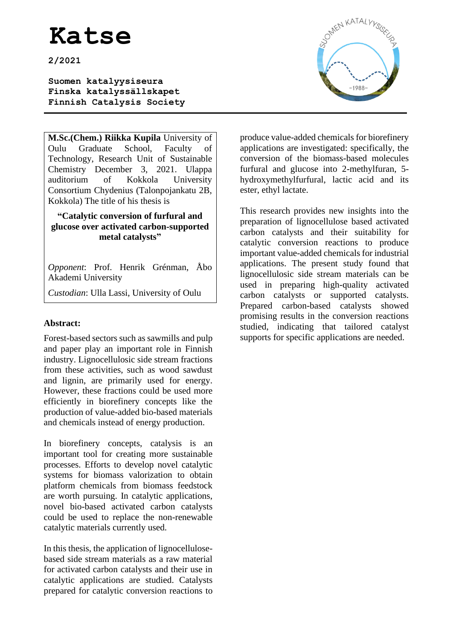**2/2021**

**Suomen katalyysiseura Finska katalyssällskapet Finnish Catalysis Society** 

**M.Sc.(Chem.) Riikka Kupila** University of Oulu Graduate School, Faculty of Technology, Research Unit of Sustainable Chemistry December 3, 2021. Ulappa auditorium of Kokkola University Consortium Chydenius (Talonpojankatu 2B, Kokkola) The title of his thesis is

#### **"Catalytic conversion of furfural and glucose over activated carbon-supported metal catalysts"**

*Opponent*: Prof. Henrik Grénman, Åbo Akademi University

*Custodian*: Ulla Lassi, University of Oulu

### **Abstract:**

Forest-based sectors such as sawmills and pulp and paper play an important role in Finnish industry. Lignocellulosic side stream fractions from these activities, such as wood sawdust and lignin, are primarily used for energy. However, these fractions could be used more efficiently in biorefinery concepts like the production of value-added bio-based materials and chemicals instead of energy production.

In biorefinery concepts, catalysis is an important tool for creating more sustainable processes. Efforts to develop novel catalytic systems for biomass valorization to obtain platform chemicals from biomass feedstock are worth pursuing. In catalytic applications, novel bio-based activated carbon catalysts could be used to replace the non-renewable catalytic materials currently used.

In this thesis, the application of lignocellulosebased side stream materials as a raw material for activated carbon catalysts and their use in catalytic applications are studied. Catalysts prepared for catalytic conversion reactions to



produce value-added chemicals for biorefinery applications are investigated: specifically, the conversion of the biomass-based molecules furfural and glucose into 2-methylfuran, 5 hydroxymethylfurfural, lactic acid and its ester, ethyl lactate.

This research provides new insights into the preparation of lignocellulose based activated carbon catalysts and their suitability for catalytic conversion reactions to produce important value-added chemicals for industrial applications. The present study found that lignocellulosic side stream materials can be used in preparing high-quality activated carbon catalysts or supported catalysts. Prepared carbon-based catalysts showed promising results in the conversion reactions studied, indicating that tailored catalyst supports for specific applications are needed.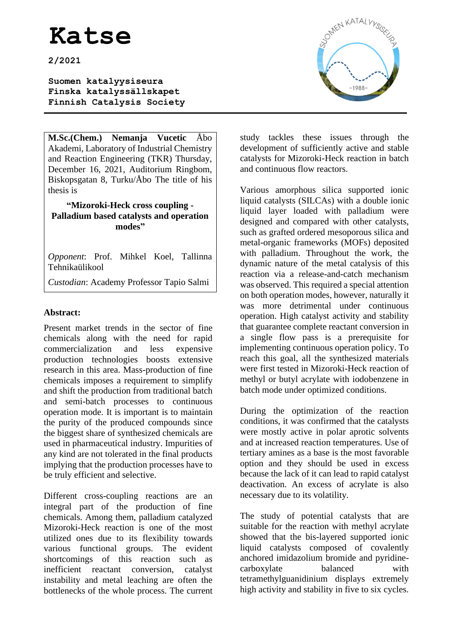**2/2021**

**Suomen katalyysiseura Finska katalyssällskapet Finnish Catalysis Society** 

**M.Sc.(Chem.) Nemanja Vucetic** Åbo Akademi, Laboratory of Industrial Chemistry and Reaction Engineering (TKR) Thursday, December 16, 2021, Auditorium Ringbom, Biskopsgatan 8, Turku/Åbo The title of his thesis is

**"Mizoroki-Heck cross coupling - Palladium based catalysts and operation modes"**

*Opponent*: Prof. Mihkel Koel, Tallinna Tehnikaülikool

*Custodian*: Academy Professor Tapio Salmi

#### **Abstract:**

Present market trends in the sector of fine chemicals along with the need for rapid commercialization and less expensive production technologies boosts extensive research in this area. Mass-production of fine chemicals imposes a requirement to simplify and shift the production from traditional batch and semi-batch processes to continuous operation mode. It is important is to maintain the purity of the produced compounds since the biggest share of synthesized chemicals are used in pharmaceutical industry. Impurities of any kind are not tolerated in the final products implying that the production processes have to be truly efficient and selective.

Different cross-coupling reactions are an integral part of the production of fine chemicals. Among them, palladium catalyzed Mizoroki-Heck reaction is one of the most utilized ones due to its flexibility towards various functional groups. The evident shortcomings of this reaction such as inefficient reactant conversion, catalyst instability and metal leaching are often the bottlenecks of the whole process. The current



study tackles these issues through the development of sufficiently active and stable catalysts for Mizoroki-Heck reaction in batch and continuous flow reactors.

Various amorphous silica supported ionic liquid catalysts (SILCAs) with a double ionic liquid layer loaded with palladium were designed and compared with other catalysts, such as grafted ordered mesoporous silica and metal-organic frameworks (MOFs) deposited with palladium. Throughout the work, the dynamic nature of the metal catalysis of this reaction via a release-and-catch mechanism was observed. This required a special attention on both operation modes, however, naturally it was more detrimental under continuous operation. High catalyst activity and stability that guarantee complete reactant conversion in a single flow pass is a prerequisite for implementing continuous operation policy. To reach this goal, all the synthesized materials were first tested in Mizoroki-Heck reaction of methyl or butyl acrylate with iodobenzene in batch mode under optimized conditions.

During the optimization of the reaction conditions, it was confirmed that the catalysts were mostly active in polar aprotic solvents and at increased reaction temperatures. Use of tertiary amines as a base is the most favorable option and they should be used in excess because the lack of it can lead to rapid catalyst deactivation. An excess of acrylate is also necessary due to its volatility.

The study of potential catalysts that are suitable for the reaction with methyl acrylate showed that the bis-layered supported ionic liquid catalysts composed of covalently anchored imidazolium bromide and pyridinecarboxylate balanced with tetramethylguanidinium displays extremely high activity and stability in five to six cycles.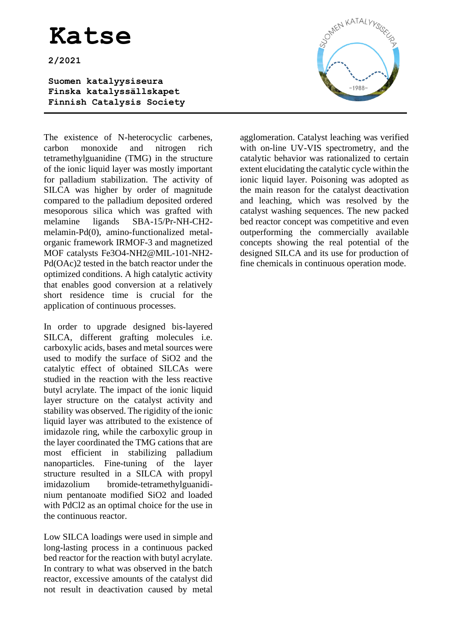**2/2021**

**Suomen katalyysiseura Finska katalyssällskapet Finnish Catalysis Society** 

The existence of N-heterocyclic carbenes, carbon monoxide and nitrogen rich tetramethylguanidine (TMG) in the structure of the ionic liquid layer was mostly important for palladium stabilization. The activity of SILCA was higher by order of magnitude compared to the palladium deposited ordered mesoporous silica which was grafted with melamine ligands SBA-15/Pr-NH-CH2 melamin-Pd(0), amino-functionalized metalorganic framework IRMOF-3 and magnetized MOF catalysts Fe3O4-NH2@MIL-101-NH2- Pd(OAc)2 tested in the batch reactor under the optimized conditions. A high catalytic activity that enables good conversion at a relatively short residence time is crucial for the application of continuous processes.

In order to upgrade designed bis-layered SILCA, different grafting molecules i.e. carboxylic acids, bases and metal sources were used to modify the surface of SiO2 and the catalytic effect of obtained SILCAs were studied in the reaction with the less reactive butyl acrylate. The impact of the ionic liquid layer structure on the catalyst activity and stability was observed. The rigidity of the ionic liquid layer was attributed to the existence of imidazole ring, while the carboxylic group in the layer coordinated the TMG cations that are most efficient in stabilizing palladium nanoparticles. Fine-tuning of the layer structure resulted in a SILCA with propyl imidazolium bromide-tetramethylguanidinium pentanoate modified SiO2 and loaded with PdCl2 as an optimal choice for the use in the continuous reactor.

Low SILCA loadings were used in simple and long-lasting process in a continuous packed bed reactor for the reaction with butyl acrylate. In contrary to what was observed in the batch reactor, excessive amounts of the catalyst did not result in deactivation caused by metal



agglomeration. Catalyst leaching was verified with on-line UV-VIS spectrometry, and the catalytic behavior was rationalized to certain extent elucidating the catalytic cycle within the ionic liquid layer. Poisoning was adopted as the main reason for the catalyst deactivation and leaching, which was resolved by the catalyst washing sequences. The new packed bed reactor concept was competitive and even outperforming the commercially available concepts showing the real potential of the designed SILCA and its use for production of fine chemicals in continuous operation mode.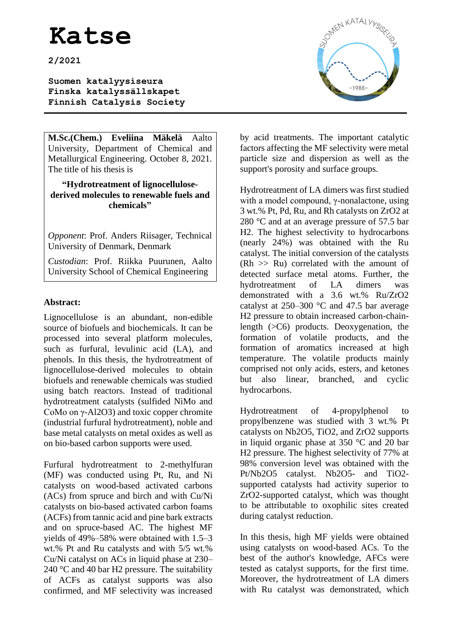**2/2021**

**Suomen katalyysiseura Finska katalyssällskapet Finnish Catalysis Society** 

**M.Sc.(Chem.) Eveliina Mäkelä** Aalto University, Department of Chemical and Metallurgical Engineering. October 8, 2021. The title of his thesis is

#### **"Hydrotreatment of lignocellulosederived molecules to renewable fuels and chemicals"**

*Opponent*: Prof. Anders Riisager, Technical University of Denmark, Denmark

*Custodian*: Prof. Riikka Puurunen, Aalto University School of Chemical Engineering

### **Abstract:**

Lignocellulose is an abundant, non-edible source of biofuels and biochemicals. It can be processed into several platform molecules, such as furfural, levulinic acid (LA), and phenols. In this thesis, the hydrotreatment of lignocellulose-derived molecules to obtain biofuels and renewable chemicals was studied using batch reactors. Instead of traditional hydrotreatment catalysts (sulfided NiMo and CoMo on γ-Al2O3) and toxic copper chromite (industrial furfural hydrotreatment), noble and base metal catalysts on metal oxides as well as on bio-based carbon supports were used.

Furfural hydrotreatment to 2-methylfuran (MF) was conducted using Pt, Ru, and Ni catalysts on wood-based activated carbons (ACs) from spruce and birch and with Cu/Ni catalysts on bio-based activated carbon foams (ACFs) from tannic acid and pine bark extracts and on spruce-based AC. The highest MF yields of 49%–58% were obtained with 1.5–3 wt.% Pt and Ru catalysts and with 5/5 wt.% Cu/Ni catalyst on ACs in liquid phase at 230– 240 °C and 40 bar H2 pressure. The suitability of ACFs as catalyst supports was also confirmed, and MF selectivity was increased



by acid treatments. The important catalytic factors affecting the MF selectivity were metal particle size and dispersion as well as the support's porosity and surface groups.

Hydrotreatment of LA dimers was first studied with a model compound, γ-nonalactone, using 3 wt.% Pt, Pd, Ru, and Rh catalysts on ZrO2 at 280 °C and at an average pressure of 57.5 bar H2. The highest selectivity to hydrocarbons (nearly 24%) was obtained with the Ru catalyst. The initial conversion of the catalysts  $(Rh \gg Ru)$  correlated with the amount of detected surface metal atoms. Further, the hydrotreatment of LA dimers was demonstrated with a 3.6 wt.% Ru/ZrO2 catalyst at  $250-300$  °C and 47.5 bar average H2 pressure to obtain increased carbon-chainlength (>C6) products. Deoxygenation, the formation of volatile products, and the formation of aromatics increased at high temperature. The volatile products mainly comprised not only acids, esters, and ketones but also linear, branched, and cyclic hydrocarbons.

Hydrotreatment of 4-propylphenol to propylbenzene was studied with 3 wt.% Pt catalysts on Nb2O5, TiO2, and ZrO2 supports in liquid organic phase at 350 °C and 20 bar H2 pressure. The highest selectivity of 77% at 98% conversion level was obtained with the Pt/Nb2O5 catalyst. Nb2O5- and TiO2 supported catalysts had activity superior to ZrO2-supported catalyst, which was thought to be attributable to oxophilic sites created during catalyst reduction.

In this thesis, high MF yields were obtained using catalysts on wood-based ACs. To the best of the author's knowledge, AFCs were tested as catalyst supports, for the first time. Moreover, the hydrotreatment of LA dimers with Ru catalyst was demonstrated, which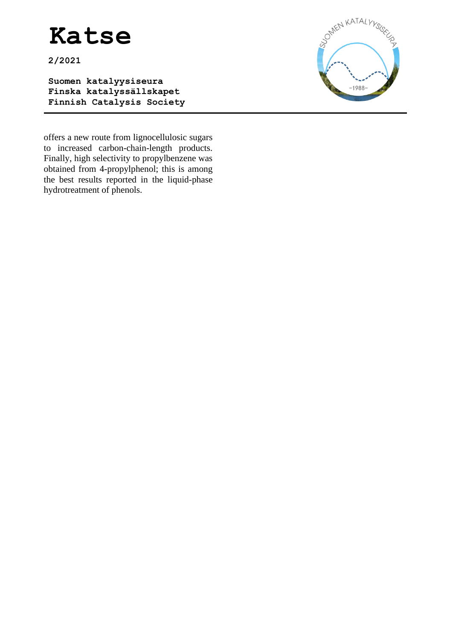**2/2021**

**Suomen katalyysiseura Finska katalyssällskapet Finnish Catalysis Society** 



offers a new route from lignocellulosic sugars to increased carbon-chain-length products. Finally, high selectivity to propylbenzene was obtained from 4-propylphenol; this is among the best results reported in the liquid-phase hydrotreatment of phenols.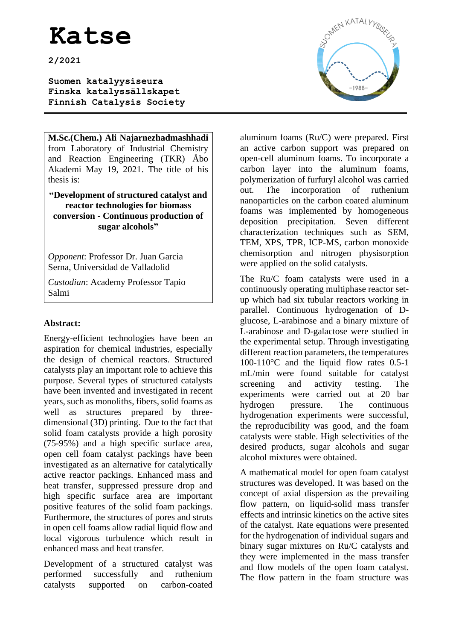**2/2021**

**Suomen katalyysiseura Finska katalyssällskapet Finnish Catalysis Society** 

**M.Sc.(Chem.) Ali Najarnezhadmashhadi** from Laboratory of Industrial Chemistry and Reaction Engineering (TKR) Åbo Akademi May 19, 2021. The title of his thesis is:

**"Development of structured catalyst and reactor technologies for biomass conversion - Continuous production of sugar alcohols"**

*Opponent*: Professor Dr. Juan Garcia Serna, Universidad de Valladolid

*Custodian*: Academy Professor Tapio Salmi

### **Abstract:**

Energy-efficient technologies have been an aspiration for chemical industries, especially the design of chemical reactors. Structured catalysts play an important role to achieve this purpose. Several types of structured catalysts have been invented and investigated in recent years, such as monoliths, fibers, solid foams as well as structures prepared by threedimensional (3D) printing. Due to the fact that solid foam catalysts provide a high porosity (75-95%) and a high specific surface area, open cell foam catalyst packings have been investigated as an alternative for catalytically active reactor packings. Enhanced mass and heat transfer, suppressed pressure drop and high specific surface area are important positive features of the solid foam packings. Furthermore, the structures of pores and struts in open cell foams allow radial liquid flow and local vigorous turbulence which result in enhanced mass and heat transfer.

Development of a structured catalyst was performed successfully and ruthenium catalysts supported on carbon-coated



aluminum foams (Ru/C) were prepared. First an active carbon support was prepared on open-cell aluminum foams. To incorporate a carbon layer into the aluminum foams, polymerization of furfuryl alcohol was carried out. The incorporation of ruthenium nanoparticles on the carbon coated aluminum foams was implemented by homogeneous deposition precipitation. Seven different characterization techniques such as SEM, TEM, XPS, TPR, ICP-MS, carbon monoxide chemisorption and nitrogen physisorption were applied on the solid catalysts.

The Ru/C foam catalysts were used in a continuously operating multiphase reactor setup which had six tubular reactors working in parallel. Continuous hydrogenation of Dglucose, L-arabinose and a binary mixture of L-arabinose and D-galactose were studied in the experimental setup. Through investigating different reaction parameters, the temperatures 100-110 $\degree$ C and the liquid flow rates 0.5-1 mL/min were found suitable for catalyst screening and activity testing. The experiments were carried out at 20 bar hydrogen pressure. The continuous hydrogenation experiments were successful, the reproducibility was good, and the foam catalysts were stable. High selectivities of the desired products, sugar alcohols and sugar alcohol mixtures were obtained.

A mathematical model for open foam catalyst structures was developed. It was based on the concept of axial dispersion as the prevailing flow pattern, on liquid-solid mass transfer effects and intrinsic kinetics on the active sites of the catalyst. Rate equations were presented for the hydrogenation of individual sugars and binary sugar mixtures on Ru/C catalysts and they were implemented in the mass transfer and flow models of the open foam catalyst. The flow pattern in the foam structure was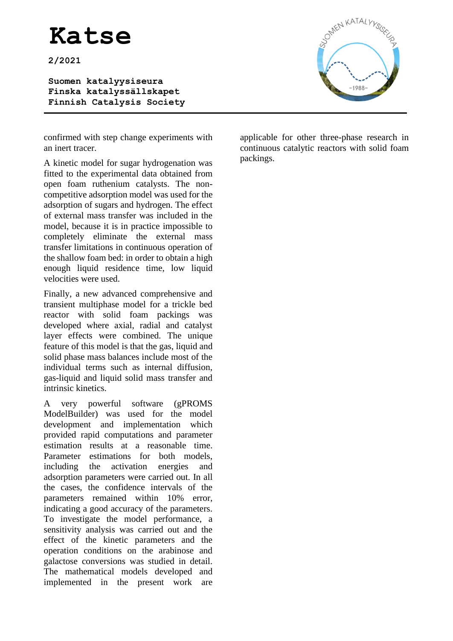**2/2021**

**Suomen katalyysiseura Finska katalyssällskapet Finnish Catalysis Society** 



confirmed with step change experiments with an inert tracer.

A kinetic model for sugar hydrogenation was fitted to the experimental data obtained from open foam ruthenium catalysts. The noncompetitive adsorption model was used for the adsorption of sugars and hydrogen. The effect of external mass transfer was included in the model, because it is in practice impossible to completely eliminate the external mass transfer limitations in continuous operation of the shallow foam bed: in order to obtain a high enough liquid residence time, low liquid velocities were used.

Finally, a new advanced comprehensive and transient multiphase model for a trickle bed reactor with solid foam packings was developed where axial, radial and catalyst layer effects were combined. The unique feature of this model is that the gas, liquid and solid phase mass balances include most of the individual terms such as internal diffusion, gas-liquid and liquid solid mass transfer and intrinsic kinetics.

A very powerful software (gPROMS ModelBuilder) was used for the model development and implementation which provided rapid computations and parameter estimation results at a reasonable time. Parameter estimations for both models, including the activation energies and adsorption parameters were carried out. In all the cases, the confidence intervals of the parameters remained within 10% error, indicating a good accuracy of the parameters. To investigate the model performance, a sensitivity analysis was carried out and the effect of the kinetic parameters and the operation conditions on the arabinose and galactose conversions was studied in detail. The mathematical models developed and implemented in the present work are

applicable for other three-phase research in continuous catalytic reactors with solid foam packings.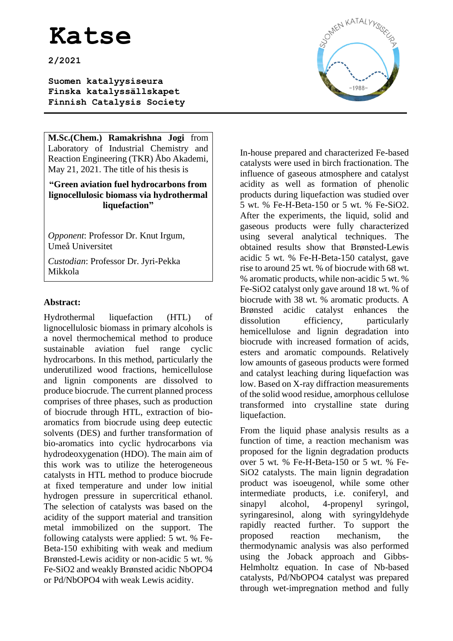**2/2021**

**Suomen katalyysiseura Finska katalyssällskapet Finnish Catalysis Society** 

**M.Sc.(Chem.) Ramakrishna Jogi** from Laboratory of Industrial Chemistry and Reaction Engineering (TKR) Åbo Akademi, May 21, 2021. The title of his thesis is

#### **"Green aviation fuel hydrocarbons from lignocellulosic biomass via hydrothermal liquefaction"**

*Opponent*: Professor Dr. Knut Irgum, Umeå Universitet

*Custodian*: Professor Dr. Jyri-Pekka Mikkola

### **Abstract:**

Hydrothermal liquefaction (HTL) of lignocellulosic biomass in primary alcohols is a novel thermochemical method to produce sustainable aviation fuel range cyclic hydrocarbons. In this method, particularly the underutilized wood fractions, hemicellulose and lignin components are dissolved to produce biocrude. The current planned process comprises of three phases, such as production of biocrude through HTL, extraction of bioaromatics from biocrude using deep eutectic solvents (DES) and further transformation of bio-aromatics into cyclic hydrocarbons via hydrodeoxygenation (HDO). The main aim of this work was to utilize the heterogeneous catalysts in HTL method to produce biocrude at fixed temperature and under low initial hydrogen pressure in supercritical ethanol. The selection of catalysts was based on the acidity of the support material and transition metal immobilized on the support. The following catalysts were applied: 5 wt. % Fe-Beta-150 exhibiting with weak and medium Brønsted-Lewis acidity or non-acidic 5 wt. % Fe-SiO2 and weakly Brønsted acidic NbOPO4 or Pd/NbOPO4 with weak Lewis acidity.



In-house prepared and characterized Fe-based catalysts were used in birch fractionation. The influence of gaseous atmosphere and catalyst acidity as well as formation of phenolic products during liquefaction was studied over 5 wt. % Fe-H-Beta-150 or 5 wt. % Fe-SiO2. After the experiments, the liquid, solid and gaseous products were fully characterized using several analytical techniques. The obtained results show that Brønsted-Lewis acidic 5 wt. % Fe-H-Beta-150 catalyst, gave rise to around 25 wt. % of biocrude with 68 wt. % aromatic products, while non-acidic 5 wt. % Fe-SiO2 catalyst only gave around 18 wt. % of biocrude with 38 wt. % aromatic products. A Brønsted acidic catalyst enhances the dissolution efficiency, particularly hemicellulose and lignin degradation into biocrude with increased formation of acids, esters and aromatic compounds. Relatively low amounts of gaseous products were formed and catalyst leaching during liquefaction was low. Based on X-ray diffraction measurements of the solid wood residue, amorphous cellulose transformed into crystalline state during liquefaction.

From the liquid phase analysis results as a function of time, a reaction mechanism was proposed for the lignin degradation products over 5 wt. % Fe-H-Beta-150 or 5 wt. % Fe-SiO2 catalysts. The main lignin degradation product was isoeugenol, while some other intermediate products, i.e. coniferyl, and sinapyl alcohol, 4-propenyl syringol, syringaresinol, along with syringyldehyde rapidly reacted further. To support the proposed reaction mechanism, the thermodynamic analysis was also performed using the Joback approach and Gibbs-Helmholtz equation. In case of Nb-based catalysts, Pd/NbOPO4 catalyst was prepared through wet-impregnation method and fully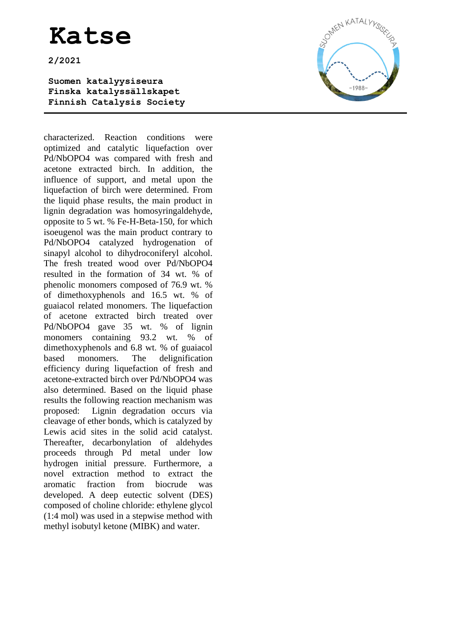**2/2021**

**Suomen katalyysiseura Finska katalyssällskapet Finnish Catalysis Society** 

characterized. Reaction conditions were optimized and catalytic liquefaction over Pd/NbOPO4 was compared with fresh and acetone extracted birch. In addition, the influence of support, and metal upon the liquefaction of birch were determined. From the liquid phase results, the main product in lignin degradation was homosyringaldehyde, opposite to 5 wt. % Fe-H-Beta-150, for which isoeugenol was the main product contrary to Pd/NbOPO4 catalyzed hydrogenation of sinapyl alcohol to dihydroconiferyl alcohol. The fresh treated wood over Pd/NbOPO4 resulted in the formation of 34 wt. % of phenolic monomers composed of 76.9 wt. % of dimethoxyphenols and 16.5 wt. % of guaiacol related monomers. The liquefaction of acetone extracted birch treated over Pd/NbOPO4 gave 35 wt. % of lignin monomers containing 93.2 wt. % of dimethoxyphenols and 6.8 wt. % of guaiacol based monomers. The delignification efficiency during liquefaction of fresh and acetone-extracted birch over Pd/NbOPO4 was also determined. Based on the liquid phase results the following reaction mechanism was proposed: Lignin degradation occurs via cleavage of ether bonds, which is catalyzed by Lewis acid sites in the solid acid catalyst. Thereafter, decarbonylation of aldehydes proceeds through Pd metal under low hydrogen initial pressure. Furthermore, a novel extraction method to extract the aromatic fraction from biocrude was developed. A deep eutectic solvent (DES) composed of choline chloride: ethylene glycol (1:4 mol) was used in a stepwise method with methyl isobutyl ketone (MIBK) and water.

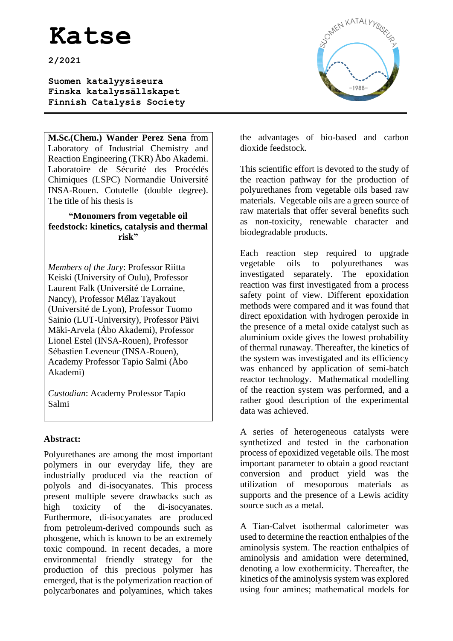**2/2021**

**Suomen katalyysiseura Finska katalyssällskapet Finnish Catalysis Society** 

**M.Sc.(Chem.) Wander Perez Sena** from Laboratory of Industrial Chemistry and Reaction Engineering (TKR) Åbo Akademi. Laboratoire de Sécurité des Procédés Chimiques (LSPC) Normandie Université INSA-Rouen. Cotutelle (double degree). The title of his thesis is

#### **"Monomers from vegetable oil feedstock: kinetics, catalysis and thermal risk"**

*Members of the Jury*: Professor Riitta Keiski (University of Oulu), Professor Laurent Falk (Université de Lorraine, Nancy), Professor Mélaz Tayakout (Université de Lyon), Professor Tuomo Sainio (LUT-University), Professor Päivi Mäki-Arvela (Åbo Akademi), Professor Lionel Estel (INSA-Rouen), Professor Sébastien Leveneur (INSA-Rouen), Academy Professor Tapio Salmi (Åbo Akademi)

*Custodian*: Academy Professor Tapio Salmi

### **Abstract:**

Polyurethanes are among the most important polymers in our everyday life, they are industrially produced via the reaction of polyols and di-isocyanates. This process present multiple severe drawbacks such as high toxicity of the di-isocyanates. Furthermore, di-isocyanates are produced from petroleum-derived compounds such as phosgene, which is known to be an extremely toxic compound. In recent decades, a more environmental friendly strategy for the production of this precious polymer has emerged, that is the polymerization reaction of polycarbonates and polyamines, which takes



the advantages of bio-based and carbon dioxide feedstock.

This scientific effort is devoted to the study of the reaction pathway for the production of polyurethanes from vegetable oils based raw materials. Vegetable oils are a green source of raw materials that offer several benefits such as non-toxicity, renewable character and biodegradable products.

Each reaction step required to upgrade vegetable oils to polyurethanes was investigated separately. The epoxidation reaction was first investigated from a process safety point of view. Different epoxidation methods were compared and it was found that direct epoxidation with hydrogen peroxide in the presence of a metal oxide catalyst such as aluminium oxide gives the lowest probability of thermal runaway. Thereafter, the kinetics of the system was investigated and its efficiency was enhanced by application of semi-batch reactor technology. Mathematical modelling of the reaction system was performed, and a rather good description of the experimental data was achieved.

A series of heterogeneous catalysts were synthetized and tested in the carbonation process of epoxidized vegetable oils. The most important parameter to obtain a good reactant conversion and product yield was the utilization of mesoporous materials as supports and the presence of a Lewis acidity source such as a metal.

A Tian-Calvet isothermal calorimeter was used to determine the reaction enthalpies of the aminolysis system. The reaction enthalpies of aminolysis and amidation were determined, denoting a low exothermicity. Thereafter, the kinetics of the aminolysis system was explored using four amines; mathematical models for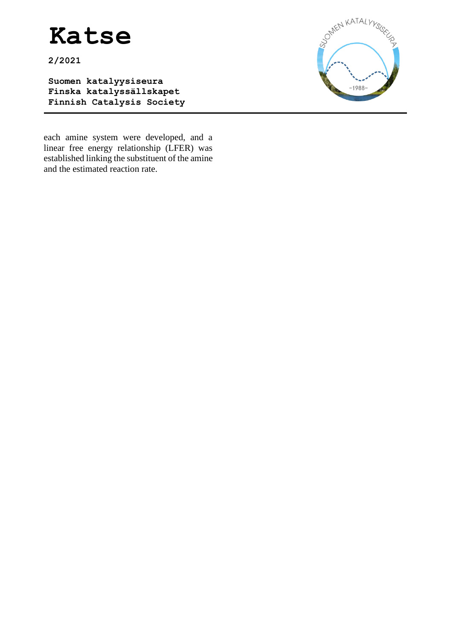**2/2021**

**Suomen katalyysiseura Finska katalyssällskapet Finnish Catalysis Society** 



each amine system were developed, and a linear free energy relationship (LFER) was established linking the substituent of the amine and the estimated reaction rate.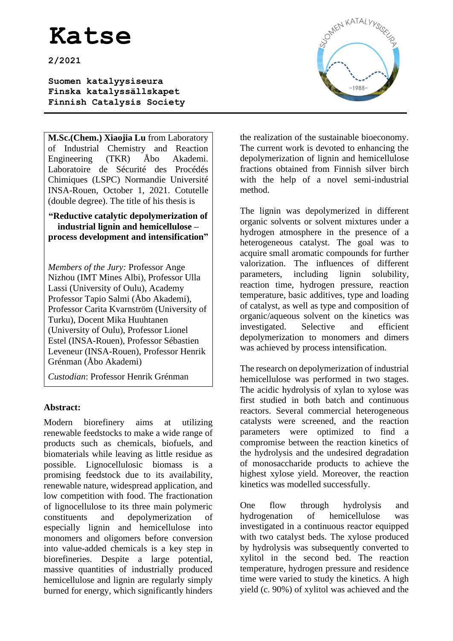**2/2021**

**Suomen katalyysiseura Finska katalyssällskapet Finnish Catalysis Society** 

**M.Sc.(Chem.) Xiaojia Lu** from Laboratory of Industrial Chemistry and Reaction Engineering (TKR) Åbo Akademi. Laboratoire de Sécurité des Procédés Chimiques (LSPC) Normandie Université INSA-Rouen, October 1, 2021. Cotutelle (double degree). The title of his thesis is

**"Reductive catalytic depolymerization of industrial lignin and hemicellulose – process development and intensification"**

*Members of the Jury:* Professor Ange Nizhou (IMT Mines Albi), Professor Ulla Lassi (University of Oulu), Academy Professor Tapio Salmi (Åbo Akademi), Professor Carita Kvarnström (University of Turku), Docent Mika Huuhtanen (University of Oulu), Professor Lionel Estel (INSA-Rouen), Professor Sébastien Leveneur (INSA-Rouen), Professor Henrik Grénman (Åbo Akademi)

*Custodian*: Professor Henrik Grénman

### **Abstract:**

Modern biorefinery aims at utilizing renewable feedstocks to make a wide range of products such as chemicals, biofuels, and biomaterials while leaving as little residue as possible. Lignocellulosic biomass is a promising feedstock due to its availability, renewable nature, widespread application, and low competition with food. The fractionation of lignocellulose to its three main polymeric constituents and depolymerization of especially lignin and hemicellulose into monomers and oligomers before conversion into value-added chemicals is a key step in biorefineries. Despite a large potential, massive quantities of industrially produced hemicellulose and lignin are regularly simply burned for energy, which significantly hinders



the realization of the sustainable bioeconomy. The current work is devoted to enhancing the depolymerization of lignin and hemicellulose fractions obtained from Finnish silver birch with the help of a novel semi-industrial method.

The lignin was depolymerized in different organic solvents or solvent mixtures under a hydrogen atmosphere in the presence of a heterogeneous catalyst. The goal was to acquire small aromatic compounds for further valorization. The influences of different parameters, including lignin solubility, reaction time, hydrogen pressure, reaction temperature, basic additives, type and loading of catalyst, as well as type and composition of organic/aqueous solvent on the kinetics was investigated. Selective and efficient depolymerization to monomers and dimers was achieved by process intensification.

The research on depolymerization of industrial hemicellulose was performed in two stages. The acidic hydrolysis of xylan to xylose was first studied in both batch and continuous reactors. Several commercial heterogeneous catalysts were screened, and the reaction parameters were optimized to find a compromise between the reaction kinetics of the hydrolysis and the undesired degradation of monosaccharide products to achieve the highest xylose yield. Moreover, the reaction kinetics was modelled successfully.

One flow through hydrolysis and hydrogenation of hemicellulose was investigated in a continuous reactor equipped with two catalyst beds. The xylose produced by hydrolysis was subsequently converted to xylitol in the second bed. The reaction temperature, hydrogen pressure and residence time were varied to study the kinetics. A high yield (c. 90%) of xylitol was achieved and the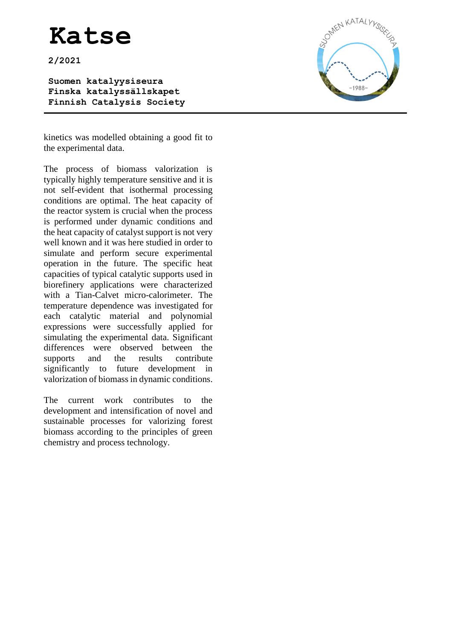**2/2021**

**Suomen katalyysiseura Finska katalyssällskapet Finnish Catalysis Society** 



kinetics was modelled obtaining a good fit to the experimental data.

The process of biomass valorization is typically highly temperature sensitive and it is not self-evident that isothermal processing conditions are optimal. The heat capacity of the reactor system is crucial when the process is performed under dynamic conditions and the heat capacity of catalyst support is not very well known and it was here studied in order to simulate and perform secure experimental operation in the future. The specific heat capacities of typical catalytic supports used in biorefinery applications were characterized with a Tian-Calvet micro-calorimeter. The temperature dependence was investigated for each catalytic material and polynomial expressions were successfully applied for simulating the experimental data. Significant differences were observed between the supports and the results contribute significantly to future development in valorization of biomass in dynamic conditions.

The current work contributes to the development and intensification of novel and sustainable processes for valorizing forest biomass according to the principles of green chemistry and process technology.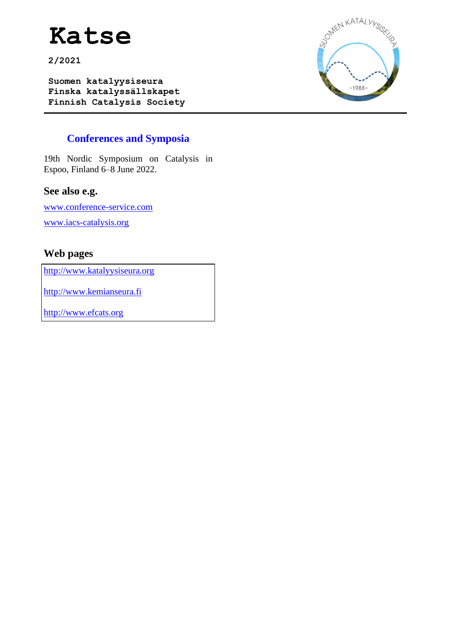**2/2021**

**Suomen katalyysiseura Finska katalyssällskapet Finnish Catalysis Society** 



### **Conferences and Symposia**

19th Nordic Symposium on Catalysis in Espoo, Finland 6–8 June 2022.

### **See also e.g.**

[www.conference-service.com](http://www.conference-service.com/) [www.iacs-catalysis.org](http://www.iacs-catalysis.org/)

### **Web pages**

[http://www.katalyysiseura.org](http://www.katalyysiseura.org/)

[http://www.kemianseura.fi](http://www.kemianseura.fi/)

[http://www.efcats.org](http://www.efcats.org/)